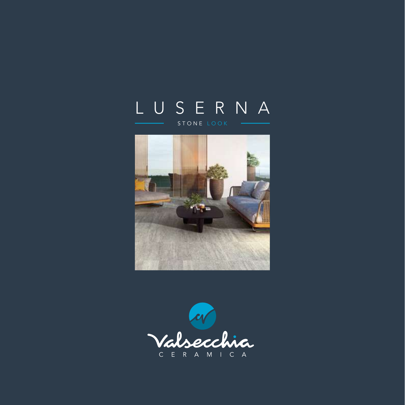





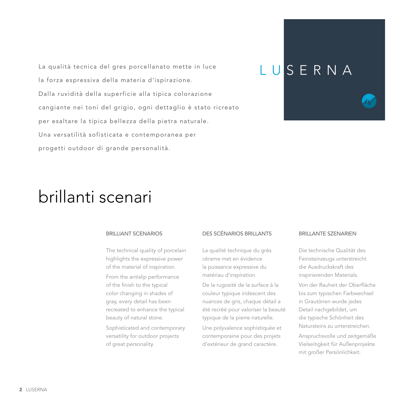L U SER N A La qualità tecnica del gres porcellanato mette in luce la forza espressiva della materia d'ispirazione. Dalla ruvidità della superficie alla tipica colorazione cangiante nei toni del grigio, ogni dettaglio è stato ricreato per esaltare la tipica bellezza della pietra naturale. Una versatilità sofisticata e contemporanea per progetti outdoor di grande personalità.

# brillanti scenari

### BRILLIANT SCENARIOS

The technical quality of porcelain highlights the expressive power of the material of inspiration.

From the antislip performance of the finish to the typical color changing in shades of gray, every detail has been recreated to enhance the typical beauty of natural stone.

Sophisticated and contemporary versatility for outdoor projects of great personality.

#### DES SCÉNARIOS BRILLANTS

La qualité technique du grès cérame met en évidence la puissance expressive du matériau d'inspiration.

De la rugosité de la surface à la couleur typique iridescent des nuances de gris, chaque détail a été recréé pour valoriser la beauté typique de la pierre naturelle.

Une polyvalence sophistiquée et contemporaine pour des projets d'extérieur de grand caractère.

#### BRILLANTE SZENARIEN

Die technische Qualität des Feinsteinzeugs unterstreicht die Ausdruckskraft des inspirierenden Materials.

Von der Rauheit der Oberfläche bis zum typischen Farbwechsel in Grautönen wurde jedes Detail nachgebildet, um die typische Schönheit des Natursteins zu unterstreichen. Anspruchsvolle und zeitgemäße Vielseitigkeit für Außenprojekte mit großer Persönlichkeit.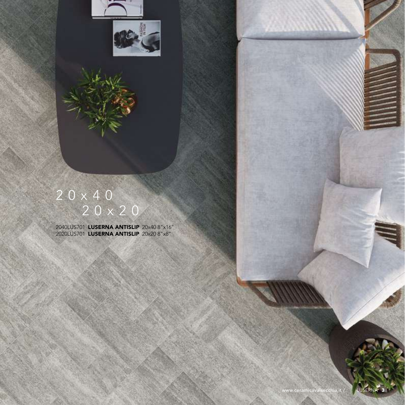



# 20x40 20x20

2040LUS701 LUSERNA ANTISLIP 20x40 8"x16'' 2020LUS701 LUSERNA ANTISLIP 20x20 8"x8''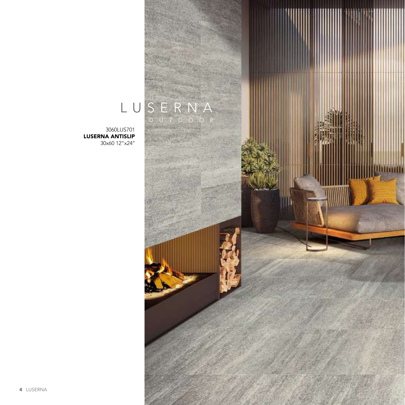

3060LUS701 LUSERNA ANTISLIP 30x60 12"x24''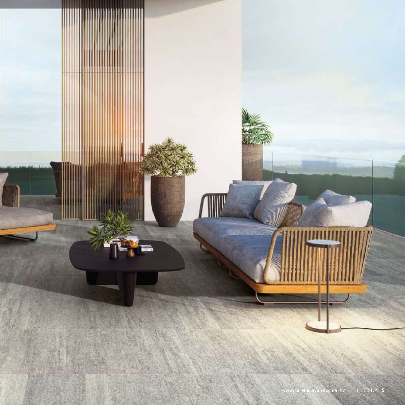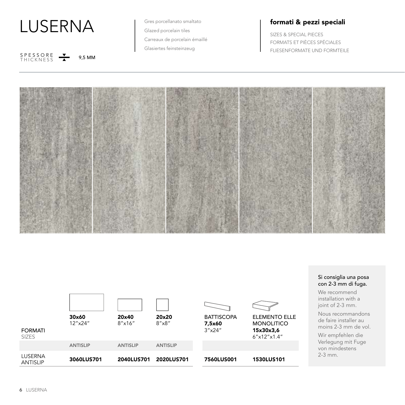

 $STESSORE$  9,5 MM

S P E S S O R E

Glazed porcelain tiles Carreaux de porcelain émaillé Glasiertes feinsteinzeug

## formati & pezzi speciali

SIZES & SPECIAL PIECES FORMATS ET PIÈCES SPÉCIALES FLIESENFORMATE UND FORMTEILE

> Si consiglia una posa con 2-3 mm di fuga.



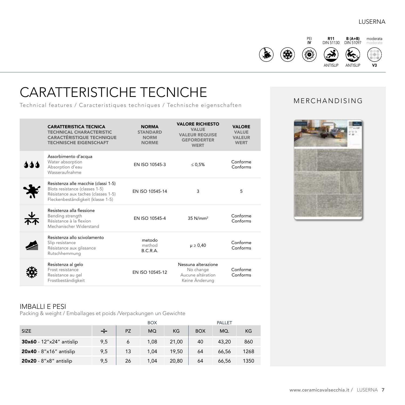### LUSERNA



# CARATTERISTICHE TECNICHE

Technical features / Caracteristiques techniques / Technische eigenschaften

| <b>CARATTERISTICA TECNICA</b><br><b>TECHNICAL CHARACTERISTIC</b><br><b>CARACTÉRISTIQUE TECHNIQUE</b><br><b>TECHNISCHE EIGENSCHAFT</b>              | <b>NORMA</b><br><b>STANDARD</b><br><b>NORM</b><br><b>NORME</b> | <b>VALORE RICHIESTO</b><br><b>VALUE</b><br><b>VALEUR REOUISE</b><br><b>GEFORDERTER</b><br><b>WERT</b> | <b>VALORE</b><br><b>VALUE</b><br><b>VALEUR</b><br><b>WERT</b> |
|----------------------------------------------------------------------------------------------------------------------------------------------------|----------------------------------------------------------------|-------------------------------------------------------------------------------------------------------|---------------------------------------------------------------|
| Assorbimento d'acqua<br>Water absorption<br>Absorption d'eau<br>Wasseraufnahme                                                                     | EN ISO 10545-3                                                 | $\leq 0.5\%$                                                                                          | Conforme<br>Conforms                                          |
| Resistenza alle macchie (classi 1-5)<br>Blots resistance (classes 1-5)<br>Résistance aux taches (classes 1-5)<br>Fleckenbeständigkeit (klasse 1-5) | EN ISO 10545-14                                                | 3                                                                                                     | 5                                                             |
| Resistenza alla flessione<br>Bending strength<br>Résistance à la flexion<br>Mechanischer Widerstand                                                | EN ISO 10545-4                                                 | $35$ N/mm <sup>2</sup>                                                                                | Conforme<br>Conforms                                          |
| Resistenza allo scivolamento<br>Slip resistance<br>Résistance aux glissance<br>Rutschhemmung                                                       | metodo<br>method<br>B.C.R.A.                                   | $\mu \geq 0.40$                                                                                       | Conforme<br>Conforms                                          |
| Resistenza al gelo<br>Frost resistance<br>Resistance au gel<br>Frostbeständigkeit                                                                  | EN ISO 10545-12                                                | Nessuna alterazione<br>No change<br>Aucune altération<br>Keine Änderung                               | Conforme<br>Conforms                                          |

# MERCHANDISING



### IMBALLI E PESI

Packing & weight / Emballages et poids /Verpackungen un Gewichte

|                                           |     |           | <b>BOX</b> |       |            | <b>PALLET</b> |      |  |
|-------------------------------------------|-----|-----------|------------|-------|------------|---------------|------|--|
| <b>SIZE</b>                               |     | <b>PZ</b> | <b>MQ</b>  | KG    | <b>BOX</b> | MQ.           | KG   |  |
| $30x60 - 12''x24''$ antislip              | 9,5 | 6         | 1.08       | 21,00 | 40         | 43.20         | 860  |  |
| <b>20x40</b> - $8'' \times 16''$ antislip | 9,5 | 13        | 1.04       | 19.50 | 64         | 66.56         | 1268 |  |
| $20x20 - 8''x8''$ antislip                | 9,5 | 26        | 1,04       | 20,80 | 64         | 66.56         | 1350 |  |